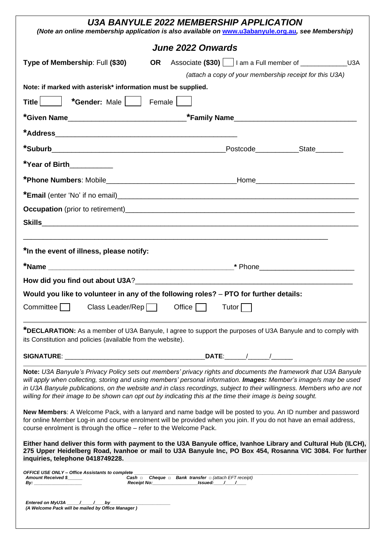| U3A BANYULE 2022 MEMBERSHIP APPLICATION<br>(Note an online membership application is also available on www.u3abanyule.org.au, see Membership)                                                                                                                                                                                                                                                                                                                                  |    |                                                                                       |       |                                                         |
|--------------------------------------------------------------------------------------------------------------------------------------------------------------------------------------------------------------------------------------------------------------------------------------------------------------------------------------------------------------------------------------------------------------------------------------------------------------------------------|----|---------------------------------------------------------------------------------------|-------|---------------------------------------------------------|
|                                                                                                                                                                                                                                                                                                                                                                                                                                                                                |    | June 2022 Onwards                                                                     |       |                                                         |
| Type of Membership: Full (\$30)                                                                                                                                                                                                                                                                                                                                                                                                                                                | OR |                                                                                       |       |                                                         |
|                                                                                                                                                                                                                                                                                                                                                                                                                                                                                |    |                                                                                       |       | (attach a copy of your membership receipt for this U3A) |
| Note: if marked with asterisk* information must be supplied.                                                                                                                                                                                                                                                                                                                                                                                                                   |    |                                                                                       |       |                                                         |
| <b>*Gender:</b> Male     Female  <br><b>Title</b>                                                                                                                                                                                                                                                                                                                                                                                                                              |    |                                                                                       |       |                                                         |
|                                                                                                                                                                                                                                                                                                                                                                                                                                                                                |    |                                                                                       |       |                                                         |
|                                                                                                                                                                                                                                                                                                                                                                                                                                                                                |    |                                                                                       |       |                                                         |
|                                                                                                                                                                                                                                                                                                                                                                                                                                                                                |    |                                                                                       |       | Postcode State                                          |
| *Year of Birth___________                                                                                                                                                                                                                                                                                                                                                                                                                                                      |    |                                                                                       |       |                                                         |
|                                                                                                                                                                                                                                                                                                                                                                                                                                                                                |    |                                                                                       |       |                                                         |
|                                                                                                                                                                                                                                                                                                                                                                                                                                                                                |    |                                                                                       |       |                                                         |
|                                                                                                                                                                                                                                                                                                                                                                                                                                                                                |    |                                                                                       |       |                                                         |
|                                                                                                                                                                                                                                                                                                                                                                                                                                                                                |    |                                                                                       |       |                                                         |
|                                                                                                                                                                                                                                                                                                                                                                                                                                                                                |    |                                                                                       |       |                                                         |
| *In the event of illness, please notify:                                                                                                                                                                                                                                                                                                                                                                                                                                       |    |                                                                                       |       |                                                         |
|                                                                                                                                                                                                                                                                                                                                                                                                                                                                                |    |                                                                                       |       |                                                         |
|                                                                                                                                                                                                                                                                                                                                                                                                                                                                                |    |                                                                                       |       |                                                         |
| Would you like to volunteer in any of the following roles? – PTO for further details:                                                                                                                                                                                                                                                                                                                                                                                          |    |                                                                                       |       |                                                         |
| Class Leader/Rep<br>Committee                                                                                                                                                                                                                                                                                                                                                                                                                                                  |    | Office                                                                                | Tutor |                                                         |
| *DECLARATION: As a member of U3A Banyule, I agree to support the purposes of U3A Banyule and to comply with<br>its Constitution and policies (available from the website).                                                                                                                                                                                                                                                                                                     |    |                                                                                       |       |                                                         |
| <b>SIGNATURE:</b>                                                                                                                                                                                                                                                                                                                                                                                                                                                              |    |                                                                                       |       |                                                         |
| Note: U3A Banyule's Privacy Policy sets out members' privacy rights and documents the framework that U3A Banyule<br>will apply when collecting, storing and using members' personal information. Images: Member's image/s may be used<br>in U3A Banyule publications, on the website and in class recordings, subject to their willingness. Members who are not<br>willing for their image to be shown can opt out by indicating this at the time their image is being sought. |    |                                                                                       |       |                                                         |
| New Members: A Welcome Pack, with a lanyard and name badge will be posted to you. An ID number and password<br>for online Member Log-in and course enrolment will be provided when you join. If you do not have an email address,<br>course enrolment is through the office - refer to the Welcome Pack.                                                                                                                                                                       |    |                                                                                       |       |                                                         |
| Either hand deliver this form with payment to the U3A Banyule office, Ivanhoe Library and Cultural Hub (ILCH),<br>275 Upper Heidelberg Road, Ivanhoe or mail to U3A Banyule Inc, PO Box 454, Rosanna VIC 3084. For further<br>inquiries, telephone 0418749228.                                                                                                                                                                                                                 |    |                                                                                       |       |                                                         |
| <b>OFFICE USE ONLY - Office Assistants to complete</b><br>Amount Received \$<br>By: _                                                                                                                                                                                                                                                                                                                                                                                          |    | <b>Cash <math>\Box</math></b> Cheque $\Box$ Bank transfer $\Box$ (attach EFT receipt) |       |                                                         |
| Entered on MyU3A $\_\_\_\_\_\_\_\_\_\_\_\_$<br>(A Welcome Pack will be mailed by Office Manager)                                                                                                                                                                                                                                                                                                                                                                               |    |                                                                                       |       |                                                         |